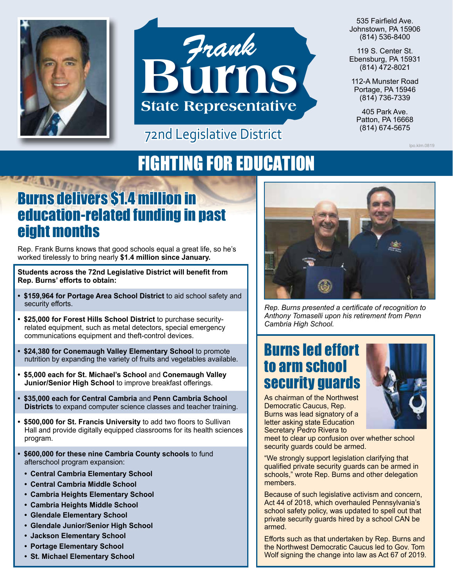



#### 72nd Legislative District

535 Fairfield Ave. Johnstown, PA 15906 (814) 536-8400

119 S. Center St. Ebensburg, PA 15931 (814) 472-8021

112-A Munster Road Portage, PA 15946 (814) 736-7339

405 Park Ave. Patton, PA 16668<br>(814) 674-5675

lpo.klm.0819

# FIGHTING FOR EDUCATION

## Burns delivers \$1.4 million in education-related funding in past eight months

Rep. Frank Burns knows that good schools equal a great life, so he's worked tirelessly to bring nearly **\$1.4 million since January.**

**Students across the 72nd Legislative District will benefit from Rep. Burns' efforts to obtain:**

- **• \$159,964 for Portage Area School District** to aid school safety and security efforts.
- **• \$25,000 for Forest Hills School District** to purchase securityrelated equipment, such as metal detectors, special emergency communications equipment and theft-control devices.
- **• \$24,380 for Conemaugh Valley Elementary School** to promote nutrition by expanding the variety of fruits and vegetables available.
- **• \$5,000 each for St. Michael's School** and **Conemaugh Valley Junior/Senior High School** to improve breakfast offerings.
- **• \$35,000 each for Central Cambria** and **Penn Cambria School Districts** to expand computer science classes and teacher training.
- **• \$500,000 for St. Francis University** to add two floors to Sullivan Hall and provide digitally equipped classrooms for its health sciences program.
- **• \$600,000 for these nine Cambria County schools** to fund afterschool program expansion:
	- **• Central Cambria Elementary School**
	- **• Central Cambria Middle School**
	- **• Cambria Heights Elementary School**
	- **• Cambria Heights Middle School**
	- **• Glendale Elementary School**
	- **• Glendale Junior/Senior High School**
	- **• Jackson Elementary School**
	- **• Portage Elementary School**
	- **• St. Michael Elementary School**



*Rep. Burns presented a certificate of recognition to Anthony Tomaselli upon his retirement from Penn Cambria High School.*

### Burns led effort to arm school security guards

As chairman of the Northwest Democratic Caucus, Rep. Burns was lead signatory of a letter asking state Education Secretary Pedro Rivera to



meet to clear up confusion over whether school security guards could be armed.

"We strongly support legislation clarifying that qualified private security guards can be armed in schools," wrote Rep. Burns and other delegation members.

Because of such legislative activism and concern, Act 44 of 2018, which overhauled Pennsylvania's school safety policy, was updated to spell out that private security guards hired by a school CAN be armed.

Efforts such as that undertaken by Rep. Burns and the Northwest Democratic Caucus led to Gov. Tom Wolf signing the change into law as Act 67 of 2019.